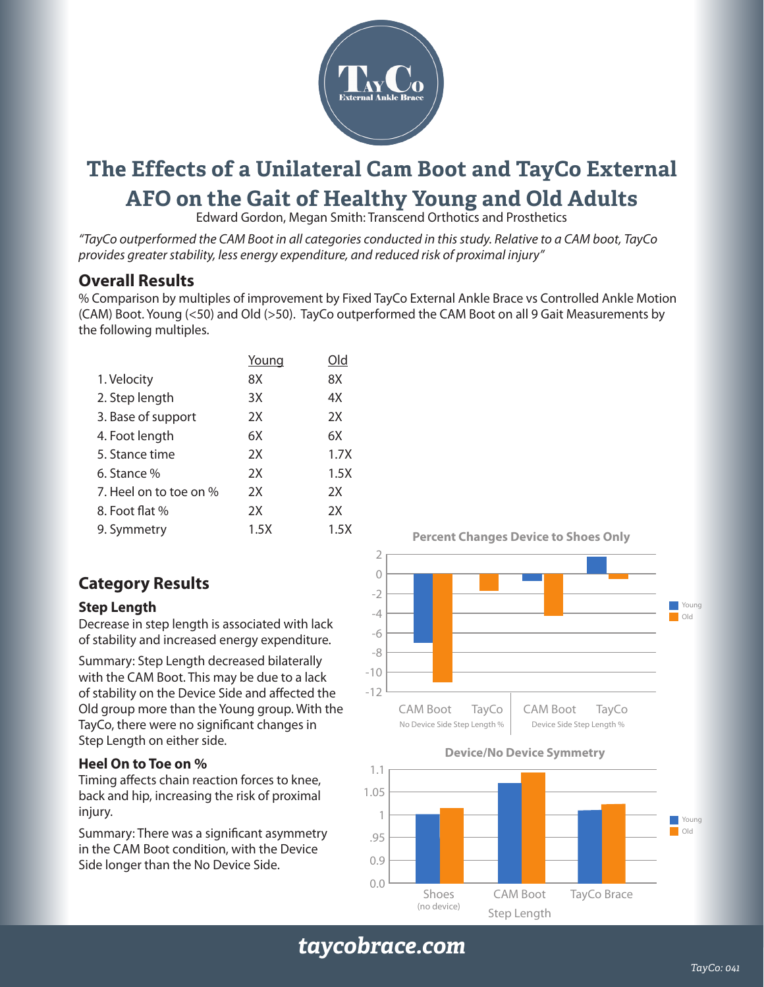

# **The Effects of a Unilateral Cam Boot and TayCo External AFO on the Gait of Healthy Young and Old Adults**

Edward Gordon, Megan Smith: Transcend Orthotics and Prosthetics

*"TayCo outperformed the CAM Boot in all categories conducted in this study. Relative to a CAM boot, TayCo provides greater stability, less energy expenditure, and reduced risk of proximal injury"* 

# **Overall Results**

% Comparison by multiples of improvement by Fixed TayCo External Ankle Brace vs Controlled Ankle Motion (CAM) Boot. Young (<50) and Old (>50). TayCo outperformed the CAM Boot on all 9 Gait Measurements by the following multiples.

|                        | Young | Old  |
|------------------------|-------|------|
| 1. Velocity            | 8X    | 8X   |
| 2. Step length         | 3X    | 4X   |
| 3. Base of support     | 2X    | 2X   |
| 4. Foot length         | 6X    | 6Х   |
| 5. Stance time         | 2X    | 1.7X |
| 6. Stance %            | 2X    | 1.5X |
| 7. Heel on to toe on % | 2X    | 2X   |
| 8. Foot flat %         | 2X    | 2X   |
| 9. Symmetry            | 1.5X  | 1.5X |
|                        |       |      |

# **Category Results**

#### **Step Length**

Decrease in step length is associated with lack of stability and increased energy expenditure.

Summary: Step Length decreased bilaterally with the CAM Boot. This may be due to a lack of stability on the Device Side and affected the Old group more than the Young group. With the TayCo, there were no significant changes in Step Length on either side.

#### **Heel On to Toe on %**

Timing affects chain reaction forces to knee, back and hip, increasing the risk of proximal injury.

Summary: There was a significant asymmetry in the CAM Boot condition, with the Device Side longer than the No Device Side.

 $-12$  $-10$ -8 -6 -4 -2  $\overline{O}$ 2 CAM Boot TayCo | CAM Boot **TayCo** Young

**Percent Changes Device to Shoes Only**





*taycobrace.com*